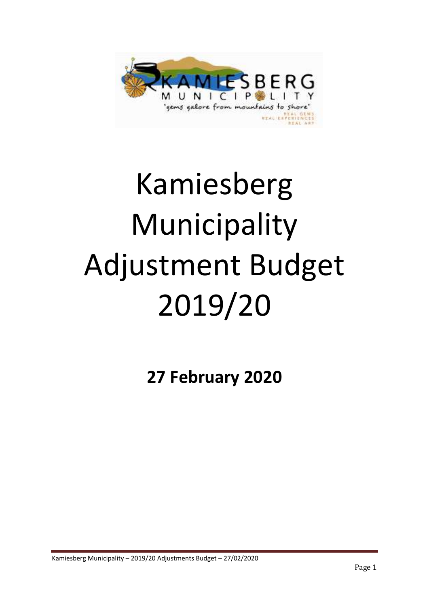

# Kamiesberg Municipality Adjustment Budget 2019/20

**27 February 2020**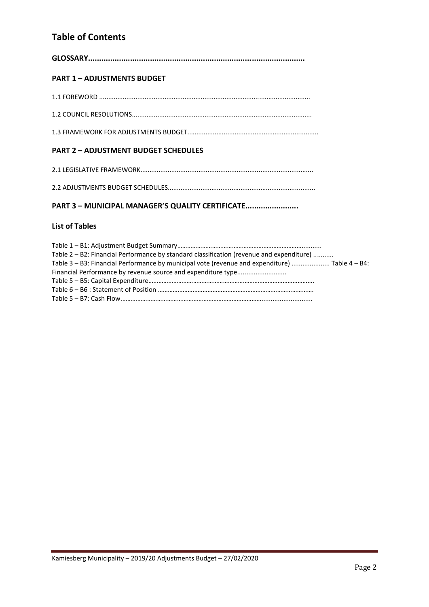## **Table of Contents**

| <b>PART 1 - ADJUSTMENTS BUDGET</b>                                                                                                                                                         |
|--------------------------------------------------------------------------------------------------------------------------------------------------------------------------------------------|
|                                                                                                                                                                                            |
|                                                                                                                                                                                            |
|                                                                                                                                                                                            |
| <b>PART 2 - ADJUSTMENT BUDGET SCHEDULES</b>                                                                                                                                                |
|                                                                                                                                                                                            |
|                                                                                                                                                                                            |
| PART 3 - MUNICIPAL MANAGER'S QUALITY CERTIFICATE                                                                                                                                           |
| <b>List of Tables</b>                                                                                                                                                                      |
| Table 2 - B2: Financial Performance by standard classification (revenue and expenditure)<br>Table 3 - B3: Financial Performance by municipal vote (revenue and expenditure)  Table 4 - B4: |

Financial Performance by revenue source and expenditure type...........................

Table 5 – B5: Capital Expenditure………………………………………………………………………………………. Table 6 – B6 : Statement of Position …………………………………………………………………………………. Table 5 – B7: Cash Flow.…………………………………………………………………………............................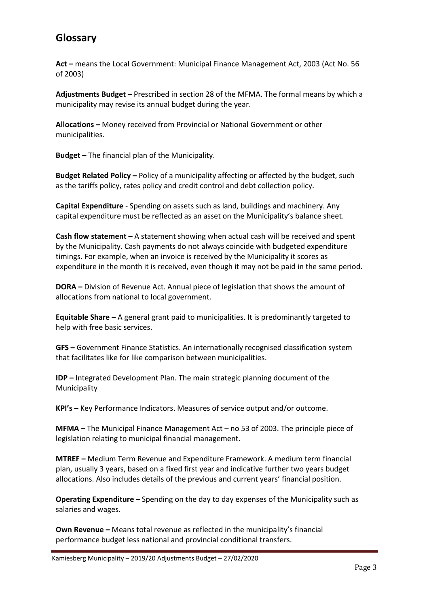# **Glossary**

**Act –** means the Local Government: Municipal Finance Management Act, 2003 (Act No. 56 of 2003)

**Adjustments Budget –** Prescribed in section 28 of the MFMA. The formal means by which a municipality may revise its annual budget during the year.

**Allocations –** Money received from Provincial or National Government or other municipalities.

**Budget –** The financial plan of the Municipality.

**Budget Related Policy –** Policy of a municipality affecting or affected by the budget, such as the tariffs policy, rates policy and credit control and debt collection policy.

**Capital Expenditure** - Spending on assets such as land, buildings and machinery. Any capital expenditure must be reflected as an asset on the Municipality's balance sheet.

**Cash flow statement –** A statement showing when actual cash will be received and spent by the Municipality. Cash payments do not always coincide with budgeted expenditure timings. For example, when an invoice is received by the Municipality it scores as expenditure in the month it is received, even though it may not be paid in the same period.

**DORA –** Division of Revenue Act. Annual piece of legislation that shows the amount of allocations from national to local government.

**Equitable Share –** A general grant paid to municipalities. It is predominantly targeted to help with free basic services.

**GFS –** Government Finance Statistics. An internationally recognised classification system that facilitates like for like comparison between municipalities.

**IDP –** Integrated Development Plan. The main strategic planning document of the Municipality

**KPI's –** Key Performance Indicators. Measures of service output and/or outcome.

**MFMA –** The Municipal Finance Management Act – no 53 of 2003. The principle piece of legislation relating to municipal financial management.

**MTREF –** Medium Term Revenue and Expenditure Framework. A medium term financial plan, usually 3 years, based on a fixed first year and indicative further two years budget allocations. Also includes details of the previous and current years' financial position.

**Operating Expenditure –** Spending on the day to day expenses of the Municipality such as salaries and wages.

**Own Revenue –** Means total revenue as reflected in the municipality's financial performance budget less national and provincial conditional transfers.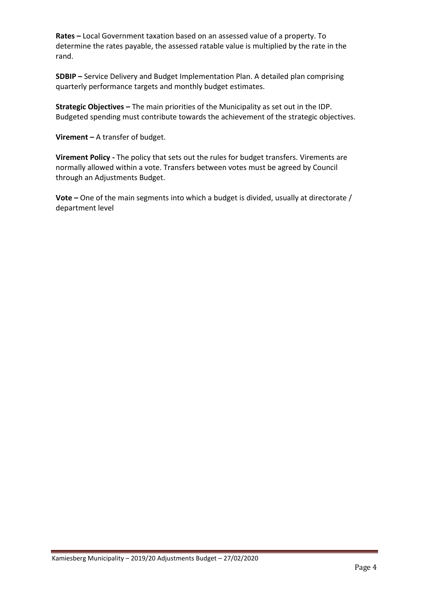**Rates –** Local Government taxation based on an assessed value of a property. To determine the rates payable, the assessed ratable value is multiplied by the rate in the rand.

**SDBIP –** Service Delivery and Budget Implementation Plan. A detailed plan comprising quarterly performance targets and monthly budget estimates.

**Strategic Objectives –** The main priorities of the Municipality as set out in the IDP. Budgeted spending must contribute towards the achievement of the strategic objectives.

**Virement –** A transfer of budget.

**Virement Policy -** The policy that sets out the rules for budget transfers. Virements are normally allowed within a vote. Transfers between votes must be agreed by Council through an Adjustments Budget.

**Vote –** One of the main segments into which a budget is divided, usually at directorate / department level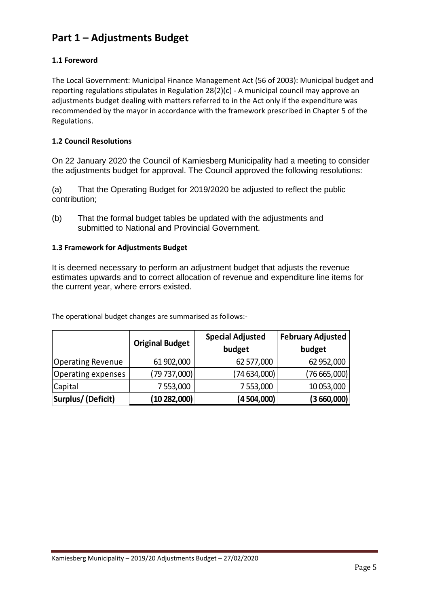# **Part 1 – Adjustments Budget**

## **1.1 Foreword**

The Local Government: Municipal Finance Management Act (56 of 2003): Municipal budget and reporting regulations stipulates in Regulation 28(2)(c) - A municipal council may approve an adjustments budget dealing with matters referred to in the Act only if the expenditure was recommended by the mayor in accordance with the framework prescribed in Chapter 5 of the Regulations.

## **1.2 Council Resolutions**

On 22 January 2020 the Council of Kamiesberg Municipality had a meeting to consider the adjustments budget for approval. The Council approved the following resolutions:

(a) That the Operating Budget for 2019/2020 be adjusted to reflect the public contribution;

(b) That the formal budget tables be updated with the adjustments and submitted to National and Provincial Government.

## **1.3 Framework for Adjustments Budget**

It is deemed necessary to perform an adjustment budget that adjusts the revenue estimates upwards and to correct allocation of revenue and expenditure line items for the current year, where errors existed.

|                          | <b>Original Budget</b> | <b>Special Adjusted</b><br>budget | <b>February Adjusted</b><br>budget |  |  |
|--------------------------|------------------------|-----------------------------------|------------------------------------|--|--|
| <b>Operating Revenue</b> | 61 902,000             | 62 577,000                        | 62 952,000                         |  |  |
| Operating expenses       | (79 737,000)           | (74634,000)                       | (76665,000)                        |  |  |
| Capital                  | 7 553,000              | 7 553,000                         | 10 053,000                         |  |  |
| Surplus/(Deficit)        | (10282,000)            | (4 504,000)                       | (3660,000)                         |  |  |

The operational budget changes are summarised as follows:-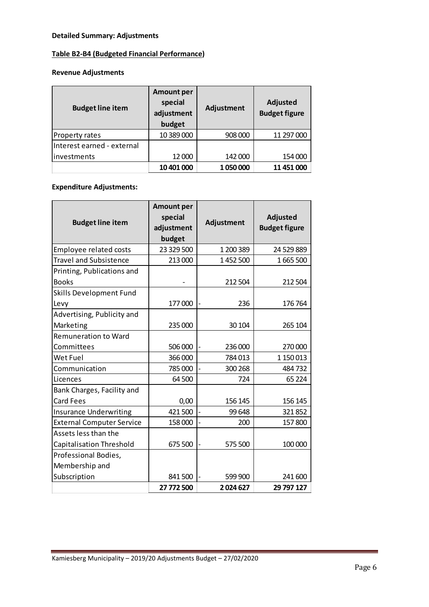## **Detailed Summary: Adjustments**

# **Table B2-B4 (Budgeted Financial Performance)**

## **Revenue Adjustments**

| <b>Budget line item</b>    | <b>Amount per</b><br>special<br>adjustment<br>budget | Adjustment | <b>Adjusted</b><br><b>Budget figure</b> |
|----------------------------|------------------------------------------------------|------------|-----------------------------------------|
| Property rates             | 10 389 000                                           | 908 000    | 11 297 000                              |
| Interest earned - external |                                                      |            |                                         |
| linvestments               | 12 000                                               | 142 000    | 154 000                                 |
|                            | 10 401 000                                           | 1050000    | 11 451 000                              |

## **Expenditure Adjustments:**

| <b>Budget line item</b>          | <b>Amount per</b><br>special<br>adjustment<br>budget | Adjustment | <b>Adjusted</b><br><b>Budget figure</b> |
|----------------------------------|------------------------------------------------------|------------|-----------------------------------------|
| Employee related costs           | 23 329 500                                           | 1 200 389  | 24 529 889                              |
| <b>Travel and Subsistence</b>    | 213 000                                              | 1452500    | 1665500                                 |
| Printing, Publications and       |                                                      |            |                                         |
| <b>Books</b>                     |                                                      | 212 504    | 212 504                                 |
| Skills Development Fund          |                                                      |            |                                         |
| Levy                             | 177000                                               | 236        | 176 764                                 |
| Advertising, Publicity and       |                                                      |            |                                         |
| Marketing                        | 235 000                                              | 30 104     | 265 104                                 |
| <b>Remuneration to Ward</b>      |                                                      |            |                                         |
| Committees                       | 506 000                                              | 236 000    | 270 000                                 |
| Wet Fuel                         | 366 000                                              | 784013     | 1 150 013                               |
| Communication                    | 785 000                                              | 300 268    | 484732                                  |
| Licences                         | 64 500                                               | 724        | 65 2 24                                 |
| Bank Charges, Facility and       |                                                      |            |                                         |
| Card Fees                        | 0,00                                                 | 156 145    | 156 145                                 |
| <b>Insurance Underwriting</b>    | 421500                                               | 99 648     | 321852                                  |
| <b>External Computer Service</b> | 158 000                                              | 200        | 157800                                  |
| Assets less than the             |                                                      |            |                                         |
| Capitalisation Threshold         | 675 500                                              | 575 500    | 100 000                                 |
| Professional Bodies,             |                                                      |            |                                         |
| Membership and                   |                                                      |            |                                         |
| Subscription                     | 841500                                               | 599 900    | 241 600                                 |
|                                  | 27 772 500                                           | 2024627    | 29 797 127                              |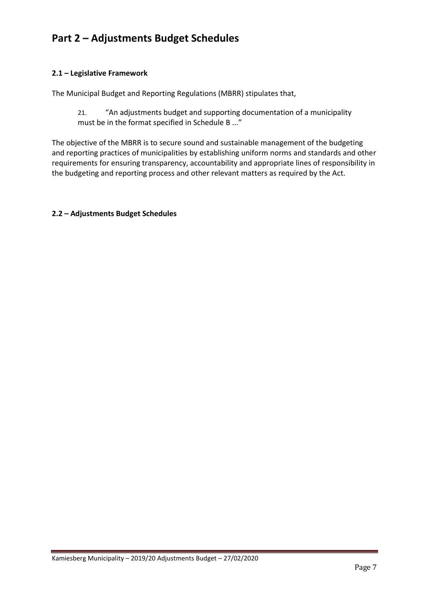# **Part 2 – Adjustments Budget Schedules**

## **2.1 – Legislative Framework**

The Municipal Budget and Reporting Regulations (MBRR) stipulates that,

21. "An adjustments budget and supporting documentation of a municipality must be in the format specified in Schedule B ..."

The objective of the MBRR is to secure sound and sustainable management of the budgeting and reporting practices of municipalities by establishing uniform norms and standards and other requirements for ensuring transparency, accountability and appropriate lines of responsibility in the budgeting and reporting process and other relevant matters as required by the Act.

### **2.2 – Adjustments Budget Schedules**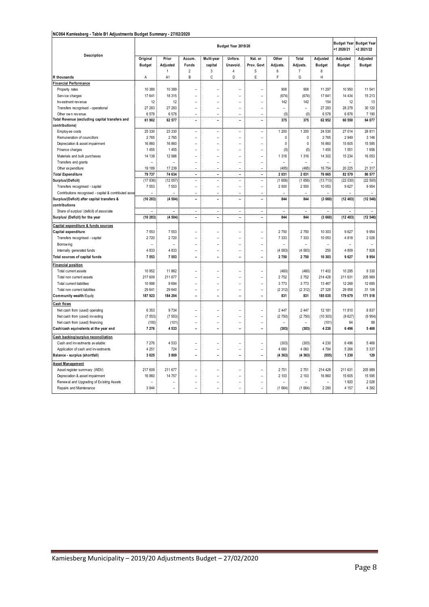#### **NC064 Kamiesberg - Table B1 Adjustments Budget Summary - 27/02/2020**

|                                                                              |                           |                                  |                          |                          | Budget Year 2019/20      |                          |                          |                          |                           | <b>Budget Year</b><br>+1 2020/21 | <b>Budget Year</b><br>+2 2021/22 |
|------------------------------------------------------------------------------|---------------------------|----------------------------------|--------------------------|--------------------------|--------------------------|--------------------------|--------------------------|--------------------------|---------------------------|----------------------------------|----------------------------------|
| Description                                                                  | Original<br><b>Budget</b> | Prior<br>Adjusted                | Accum.<br>Funds          | Multi-year<br>capital    | Unfore.<br>Unavoid.      | Nat. or<br>Prov. Govt    | Other<br>Adjusts.        | Total<br>Adjusts.        | Adjusted<br><b>Budget</b> | Adjusted<br><b>Budget</b>        | Adjusted<br><b>Budget</b>        |
|                                                                              |                           | 1                                | $\overline{2}$<br>B      | 3<br>C                   | $\overline{4}$<br>D      | $\sqrt{5}$<br>E          | 6<br>F                   | 7<br>G                   | 8<br>Η                    |                                  |                                  |
| R thousands<br>Financial Performance                                         | Α                         | A1                               |                          |                          |                          |                          |                          |                          |                           |                                  |                                  |
| Property rates                                                               | 10 389                    | 10 389                           | $\overline{a}$           |                          |                          |                          | 908                      | 908                      | 11 297                    | 10 950                           | 11 541                           |
| Service charges                                                              | 17 641                    | 18 315                           | L,                       | $\overline{a}$           | J.                       |                          | (674)                    | (674)                    | 17 641                    | 14 4 34                          | 15 213                           |
| Investment revenue                                                           | 12                        | 12                               |                          |                          |                          |                          | 142                      | 142                      | 154                       | 12                               | 13                               |
| Transfers recognised - operational                                           | 27 283                    | 27 283                           | $\overline{a}$           | L,                       | L.                       | $\overline{a}$           | $\overline{a}$           | $\overline{a}$           | 27 283                    | 28 278                           | 30 120                           |
| Other own revenue                                                            | 6578                      | 6578                             | ۰                        | ۳                        | L.                       |                          | (0)                      | (0)                      | 6578                      | 6876                             | 7 190                            |
| Total Revenue (excluding capital transfers and                               | 61 902                    | 62 577                           | ÷,                       | $\overline{a}$           | $\overline{\phantom{a}}$ | $\blacksquare$           | 375                      | 375                      | 62 952                    | 60 550                           | 64 077                           |
| contributions)                                                               |                           |                                  |                          |                          |                          |                          |                          |                          |                           |                                  |                                  |
| Employ ee costs                                                              | 25 330                    | 23 330                           | $\overline{a}$           | $\overline{a}$           | Ĭ.                       | $\overline{a}$           | 1 200                    | 1 200                    | 24 530                    | 27 014                           | 28 811                           |
| Remuneration of councillors                                                  | 2 7 6 5                   | 2765                             | L,                       | $\overline{a}$           | L,                       | ۳                        | $\mathbf 0$              | $\pmb{0}$                | 2765                      | 2 9 4 9                          | 3 1 4 6                          |
| Depreciation & asset impairment                                              | 16 860                    | 16 860                           | $\overline{a}$           |                          |                          |                          | 0                        | 0                        | 16 860                    | 15 605                           | 15 595                           |
| Finance charges                                                              | 1455                      | 1455                             | L,                       |                          | L,                       |                          | (0)                      | (0)                      | 1455                      | 1 5 5 1                          | 1656                             |
| Materials and bulk purchases                                                 | 14 139                    | 12 986                           | L.                       | L.                       | ۰                        | $\overline{a}$           | 1 3 1 6                  | 1 3 1 6                  | 14 30 2                   | 15 2 34                          | 16 053                           |
| Transfers and grants                                                         | L                         | $\overline{a}$                   | L.                       | L.                       | ÷,                       | ۳                        | $\overline{a}$           | $\overline{a}$           | $\overline{a}$            | ٠                                | ٠                                |
| Other ex penditure                                                           | 19 189                    | 17 239                           | $\overline{a}$           | $\overline{a}$           | $\overline{\phantom{a}}$ | $\overline{\phantom{a}}$ | (485)                    | (485)                    | 16 754                    | 20 225                           | 21 317                           |
| <b>Total Expenditure</b>                                                     | 79 737                    | 74 634                           | L.<br>$\overline{a}$     | ٠<br>$\overline{a}$      | ٠<br>L.                  | ٠<br>$\overline{a}$      | 2 0 3 1                  | 2 0 3 1                  | 76 665                    | 82 579                           | 86 577                           |
| Surplus/(Deficit)<br>Transfers recognised - capital                          | (17836)<br>7 5 5 3        | (12057)<br>7 5 5 3               | $\overline{a}$           | $\overline{a}$           | Ĭ.                       | $\overline{a}$           | (1656)<br>2 500          | (1656)<br>2 500          | (13713)<br>10 053         | (22030)<br>9627                  | (22 500)<br>9 9 5 4              |
| Contributions recognised - capital & contributed asse                        |                           |                                  | L,                       | $\overline{a}$           | L,                       | $\overline{a}$           | $\overline{a}$           | $\overline{a}$           | $\overline{a}$            |                                  | L,                               |
| Surplus/(Deficit) after capital transfers &                                  | (10283)                   | (4504)                           | $\overline{a}$           | $\overline{a}$           | ÷.                       | $\overline{a}$           | 844                      | 844                      | (3660)                    | (12403)                          | (12546)                          |
| contributions                                                                |                           |                                  |                          |                          |                          |                          |                          |                          |                           |                                  |                                  |
| Share of surplus/ (deficit) of associate                                     | $\overline{a}$            | $\overline{a}$                   | $\overline{\phantom{0}}$ | $\overline{\phantom{a}}$ | $\overline{\phantom{a}}$ | $\overline{\phantom{a}}$ | $\overline{\phantom{a}}$ | $\overline{\phantom{a}}$ | $\overline{a}$            | $\sim$                           | $\overline{\phantom{a}}$         |
| Surplus/ (Deficit) for the year                                              | (10283)                   | (4504)                           | ÷,                       | $\overline{a}$           | $\overline{a}$           | $\overline{a}$           | 844                      | 844                      | (3660)                    | (12403)                          | (12, 546)                        |
| Capital expenditure & funds sources                                          |                           |                                  |                          |                          |                          |                          |                          |                          |                           |                                  |                                  |
| Capital expenditure                                                          | 7 5 5 3                   | 7 5 5 3                          | ۰                        | ۳                        | L.                       | $\overline{a}$           | 2 7 5 0                  | 2750                     | 10 303                    | 9 6 27                           | 9 9 5 4                          |
| Transfers recognised - capital                                               | 2 7 2 0                   | 2720                             | ۰                        | ۳                        | ÷                        | ۳                        | 7 3 3 3                  | 7 3 3 3                  | 10 053                    | 4818                             | 2 0 2 6                          |
| Borrow ing                                                                   |                           |                                  | L.                       | L                        | L,                       | ۰                        | $\overline{a}$           | L,                       | L,                        | ۰                                | ۰                                |
| Internally generated funds                                                   | 4 8 3 3                   | 4833                             | L.                       | L.                       | ۰                        | $\overline{a}$           | (4583)                   | (4583)                   | 250                       | 4 8 0 9                          | 7928                             |
| Total sources of capital funds                                               | 7 5 5 3                   | 7 5 5 3                          | ÷,                       | $\overline{a}$           | ÷,                       | $\blacksquare$           | 2 7 5 0                  | 2750                     | 10 303                    | 9627                             | 9954                             |
| <b>Financial position</b>                                                    |                           |                                  |                          |                          |                          |                          |                          |                          |                           |                                  |                                  |
|                                                                              | 10 952                    | 11 862                           | $\overline{a}$           | $\overline{a}$           | ۰                        | $\overline{\phantom{a}}$ | (460)                    | (460)                    | 11 402                    | 10 295                           | 9 3 3 0                          |
| Total current assets<br>Total non current assets                             | 217 609                   | 211 677                          | ۰                        | ۳                        | ۰                        | $\overline{a}$           | 2752                     | 2752                     | 214 428                   | 211 631                          | 205 989                          |
| Total current liabilities                                                    | 10 998                    | 9694                             | L.                       | L                        | L.                       | $\overline{a}$           | 3773                     | 3773                     | 13 467                    | 12 288                           | 12 695                           |
| Total non current liabilities                                                | 29 641                    | 29 640                           | Ĭ.                       | $\overline{a}$           |                          |                          | (2312)                   | (2312)                   | 27 328                    | 29 958                           | 31 106                           |
| Community wealth/Equity                                                      | 187 923                   | 184 204                          | Ĭ.                       | Ĭ.                       | Ē,                       | $\overline{a}$           | 831                      | 831                      | 185 035                   | 179 679                          | 171 518                          |
| Cash flows                                                                   |                           |                                  |                          |                          |                          |                          |                          |                          |                           |                                  |                                  |
| Net cash from (used) operating                                               | 6 3 5 3                   | 9734                             | ۰                        |                          |                          | $\overline{a}$           | 2 4 4 7                  | 2 4 4 7                  | 12 181                    | 11810                            | 8 8 3 7                          |
| Net cash from (used) investing                                               | (7553)                    | (7553)                           | $\overline{a}$           | L                        | ÷,                       | $\overline{a}$           | (2750)                   | (2750)                   | (10303)                   | (9627)                           | (9954)                           |
| Net cash from (used) financing                                               | (100)                     | (101)                            | $\overline{a}$           | L.                       | ÷                        | $\overline{a}$           | $\overline{a}$           |                          | (101)                     | 84                               | 88                               |
| Cash/cash equivalents at the year end                                        | 7 276                     | 4533                             | $\overline{\phantom{0}}$ | $\overline{\phantom{a}}$ | $\overline{a}$           | $\blacksquare$           | (303)                    | (303)                    | 4 2 3 0                   | 6 4 9 6                          | 5 4 6 6                          |
|                                                                              |                           |                                  |                          |                          |                          |                          |                          |                          |                           |                                  |                                  |
| Cash backing/surplus reconciliation                                          | 7 2 7 6                   |                                  |                          |                          |                          | ۳                        |                          |                          | 4 2 3 0                   | 6 4 9 6                          |                                  |
| Cash and investments available<br>Application of cash and investments        | 4 2 5 1                   | 4 5 3 3<br>724                   | $\overline{a}$           | L.                       | ۰                        | $\overline{a}$           | (303)<br>4 0 6 0         | (303)<br>4 0 6 0         | 4 7 8 4                   | 5 2 6 6                          | 5 4 6 6<br>5 3 3 7               |
| Balance - surplus (shortfall)                                                | 3 0 2 5                   | 3809                             | L.                       | ÷.                       | L.                       | ٠                        | (4363)                   | (4363)                   | (555)                     | 1 2 3 0                          | 129                              |
|                                                                              |                           |                                  |                          |                          |                          |                          |                          |                          |                           |                                  |                                  |
| <b>Asset Management</b>                                                      |                           |                                  |                          |                          |                          |                          |                          |                          |                           |                                  |                                  |
| Asset register summary (WDV)                                                 | 217 609<br>16 860         | 211 677<br>14 757                | $\overline{a}$           |                          |                          |                          | 2 7 5 1<br>2 103         | 2751<br>2 103            | 214 428<br>16 860         | 211 631<br>15 605                | 205 989<br>15 595                |
| Depreciation & asset impairment<br>Renew al and Upgrading of Existing Assets |                           |                                  | L.                       |                          | $\overline{a}$           |                          | $\overline{a}$           | $\overline{a}$           | L,                        | 1920                             | 2 0 2 6                          |
| Repairs and Maintenance                                                      | 3 9 4 4                   | $\overline{a}$<br>$\overline{a}$ | ۰                        | $\overline{a}$           | ۰                        | $\overline{\phantom{a}}$ | (1664)                   | (1664)                   | 2 2 8 0                   | 4 157                            | 4 3 8 2                          |
|                                                                              |                           |                                  |                          |                          |                          |                          |                          |                          |                           |                                  |                                  |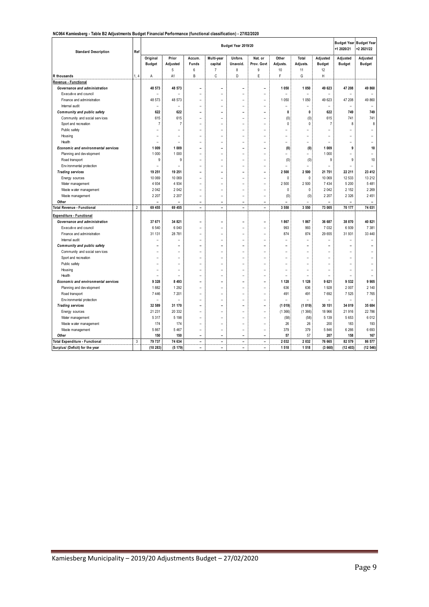#### **NC064 Kamiesberg - Table B2 Adjustments Budget Financial Performance (functional classification) - 27/02/2020**

| <b>Standard Description</b>                | Ref            |                          |                          |                          |                          | Budget Year 2019/20      |                          |                          |                |                          | <b>Budget Year Budget Year</b><br>+1 2020/21 | +2 2021/22               |
|--------------------------------------------|----------------|--------------------------|--------------------------|--------------------------|--------------------------|--------------------------|--------------------------|--------------------------|----------------|--------------------------|----------------------------------------------|--------------------------|
|                                            |                | Original                 | Prior                    | Accum.                   | Multi-year               | Unfore.                  | Nat. or                  | Other                    | Total          | Adjusted                 | Adjusted                                     | Adjusted                 |
|                                            |                | <b>Budget</b>            | Adjusted                 | Funds                    | capital                  | Unavoid.                 | Prov. Govt               | Adjusts.                 | Adjusts.       | <b>Budget</b>            | <b>Budget</b>                                | <b>Budget</b>            |
|                                            |                |                          | 5                        | 6                        | $\overline{7}$           | 8                        | 9                        | 10                       | 11             | 12                       |                                              |                          |
| R thousands                                | 1.4            | A                        | A <sub>1</sub>           | B                        | C                        | D                        | E                        | F                        | G              | H                        |                                              |                          |
| Revenue - Functional                       |                |                          |                          |                          |                          |                          |                          |                          |                |                          |                                              |                          |
| Governance and administration              |                | 48 573                   | 48 573                   | ۰                        | ۰                        | -                        | ۳                        | 1 0 5 0                  | 1 0 5 0        | 49 623                   | 47 208                                       | 49 860                   |
| Executive and council                      |                | $\overline{a}$           |                          |                          | $\overline{a}$           | -                        | $\overline{a}$           |                          |                |                          |                                              |                          |
| Finance and administration                 |                | 48 573                   | 48 573                   | $\overline{a}$           | ۰                        | $\overline{a}$           | $\overline{\phantom{a}}$ | 1 0 5 0                  | 1 0 5 0        | 49 623                   | 47 208                                       | 49 860                   |
| Internal audit                             |                | $\overline{a}$           | $\overline{\phantom{a}}$ | $\overline{a}$           | $\overline{a}$           | $\overline{a}$           | $\overline{a}$           | $\overline{\phantom{0}}$ | $\overline{a}$ | $\overline{\phantom{a}}$ | $\overline{\phantom{a}}$                     | $\overline{\phantom{a}}$ |
| Community and public safety                |                | 622                      | 622                      | $\overline{a}$           | L,                       | -                        | $\overline{\phantom{0}}$ | 0                        | $\mathbf{0}$   | 622                      | 749                                          | 749                      |
| Community and social services              |                | 615                      | 615                      | $\overline{a}$           | $\overline{a}$           |                          | $\overline{a}$           | (0)                      | (0)            | 615                      | 741                                          | 741                      |
| Sport and recreation                       |                | $\overline{7}$           | $\overline{7}$           | $\overline{a}$           | $\overline{a}$           | $\overline{a}$           | $\overline{a}$           | 0                        | $\Omega$       | $\overline{7}$           | 8                                            | 8                        |
| Public safety                              |                |                          | $\overline{a}$           | $\overline{a}$           | L,                       | $\overline{a}$           | $\overline{a}$           | $\overline{a}$           |                | $\overline{a}$           |                                              |                          |
| Housing                                    |                | $\overline{a}$           | $\overline{a}$           | $\overline{\phantom{a}}$ | $\overline{\phantom{a}}$ | $\overline{a}$           | $\overline{\phantom{a}}$ | $\overline{a}$           | $\overline{a}$ | $\overline{a}$           | $\overline{\phantom{a}}$                     |                          |
| Health                                     |                | $\overline{a}$           | $\overline{\phantom{a}}$ | $\overline{a}$           | $\overline{a}$           | $\overline{a}$           | $\overline{a}$           | $\overline{a}$           | $\overline{a}$ | $\overline{\phantom{0}}$ | $\overline{a}$                               | $\overline{\phantom{0}}$ |
| <b>Economic and environmental services</b> |                | 1 009                    | 1 0 0 9                  | $\overline{\phantom{a}}$ | L,                       | -                        | $\overline{\phantom{0}}$ | (0)                      | (0)            | 1 0 0 9                  | 9                                            | 10                       |
| Planning and development                   |                | 1 000                    | 1 0 0 0                  | $\overline{a}$           | $\overline{a}$           | $\overline{a}$           | $\overline{a}$           | $\overline{\phantom{0}}$ | $\overline{a}$ | 1 0 0 0                  |                                              |                          |
| Road transport                             |                | 9                        | 9                        | $\overline{a}$           | ۰                        |                          | $\overline{a}$           | (0)                      | (0)            | 9                        | 9                                            | 10                       |
| Env ironmental protection                  |                | $\overline{a}$           | $\overline{a}$           | $\overline{a}$           |                          |                          | $\overline{a}$           |                          |                |                          |                                              |                          |
| <b>Trading services</b>                    |                | 19 251                   | 19 251                   | $\overline{a}$           |                          |                          | $\overline{a}$           | 2 500                    | 2 500          | 21 751                   | 22 211                                       | 23 412                   |
| Energy sources                             |                | 10 069                   | 10 069                   | $\overline{a}$           | ۰                        | $\overline{a}$           | $\overline{a}$           | 0                        | 0              | 10 069                   | 12 533                                       | 13 212                   |
| Water management                           |                | 4 9 3 4                  | 4 9 3 4                  | $\overline{a}$           | $\overline{\phantom{a}}$ | $\overline{a}$           | $\overline{a}$           | 2 500                    | 2 500          | 7 4 3 4                  | 5 200                                        | 5 4 8 1                  |
| Waste water management                     |                | 2 0 4 2                  | 2 0 4 2                  | $\overline{a}$           | $\overline{a}$           | $\overline{a}$           | $\overline{a}$           | 0                        | $\mathbf{0}$   | 2 0 4 2                  | 2 1 5 2                                      | 2 2 6 9                  |
| Waste management                           |                | 2 2 0 7                  | 2 2 0 7                  | $\overline{a}$           | $\overline{a}$           | $\overline{a}$           | $\overline{a}$           | (0)                      | (0)            | 2 2 0 7                  | 2 3 2 6                                      | 2 4 5 1                  |
| Other                                      |                |                          |                          | $\overline{\phantom{0}}$ | $\overline{\phantom{a}}$ | -                        | $\overline{\phantom{0}}$ |                          |                |                          |                                              |                          |
| Otal Revenue - Functional                  | $\overline{2}$ | 69 455                   | 69 455                   | $\overline{\phantom{0}}$ | $\overline{a}$           | $\overline{a}$           | $\overline{a}$           | 3 5 5 0                  | 3 5 5 0        | 73 005                   | 70 177                                       | 74 031                   |
| Expenditure - Functional                   |                |                          |                          |                          |                          |                          |                          |                          |                |                          |                                              |                          |
| Governance and administration              |                | 37 671                   | 34 821                   | $\overline{\phantom{a}}$ | ۰                        | -                        | $\overline{\phantom{0}}$ | 1867                     | 1867           | 36 687                   | 38 870                                       | 40 821                   |
| Executive and council                      |                | 6 5 4 0                  | 6 0 4 0                  | $\overline{a}$           | $\overline{a}$           | $\overline{a}$           | $\overline{a}$           | 993                      | 993            | 7 0 3 2                  | 6939                                         | 7 3 8 1                  |
| Finance and administration                 |                | 31 131                   | 28 781                   | $\overline{a}$           | L,                       | $\overline{a}$           | $\overline{a}$           | 874                      | 874            | 29 655                   | 31 931                                       | 33 440                   |
| Internal audit                             |                |                          |                          | $\overline{a}$           | $\overline{a}$           | -                        | $\overline{a}$           | $\overline{a}$           | $\overline{a}$ |                          |                                              | $\overline{a}$           |
| Community and public safety                |                |                          |                          | L.                       | L.                       | ۳                        | L.                       | ۳                        |                |                          |                                              |                          |
| Community and social services              |                |                          |                          |                          |                          |                          |                          |                          |                |                          |                                              |                          |
| Sport and recreation                       |                |                          | ۰                        | $\overline{\phantom{a}}$ | ۰                        | $\overline{a}$           | $\overline{\phantom{a}}$ | $\overline{a}$           | ۰              | $\overline{a}$           | ۰                                            |                          |
| Public safety                              |                | $\overline{\phantom{0}}$ | $\overline{\phantom{0}}$ | $\overline{a}$           | $\overline{a}$           | $\overline{a}$           | $\overline{a}$           | $\overline{\phantom{0}}$ |                |                          |                                              |                          |
| Housing                                    |                |                          |                          |                          |                          |                          |                          |                          | $\overline{a}$ |                          |                                              |                          |
| Health                                     |                | $\overline{a}$           | $\overline{a}$           | $\overline{a}$           | $\overline{a}$           |                          | $\overline{a}$           | $\overline{a}$           | ÷              |                          |                                              |                          |
| Economic and environmental services        |                | 9 3 2 8                  | 8 4 9 3                  | $\overline{\phantom{0}}$ | ۰                        | -                        | $\overline{\phantom{0}}$ | 1 1 2 8                  | 1 1 2 8        | 9 6 21                   | 9 5 3 2                                      | 9 9 0 5                  |
| Planning and development                   |                | 1882                     | 1 2 9 2                  | $\overline{a}$           |                          |                          |                          | 636                      | 636            | 1928                     | 2 0 0 7                                      | 2 140                    |
| Road transport                             |                | 7 4 4 6                  | 7 201                    | $\overline{a}$           | ۰                        | $\overline{\phantom{a}}$ | $\overline{\phantom{a}}$ | 491                      | 491            | 7692                     | 7 5 2 5                                      | 7765                     |
| Env ironmental protection                  |                | $\overline{a}$           | $\overline{a}$           | $\overline{a}$           | $\overline{a}$           | $\overline{a}$           | $\overline{a}$           |                          | $\overline{a}$ |                          | $\overline{a}$                               | $\overline{\phantom{a}}$ |
| <b>Trading services</b>                    |                | 32 589                   | 31 170                   | $\overline{a}$           | L,                       | -                        | $\overline{a}$           | (1019)                   | (1019)         | 30 151                   | 34 019                                       | 35 684                   |
| Energy sources                             |                | 21 231                   | 20 332                   | $\overline{a}$           | L,                       | $\overline{a}$           | $\overline{a}$           | (1366)                   | (1366)         | 18 966                   | 21 916                                       | 22 786                   |
|                                            |                | 5 3 1 7                  | 5 1 9 8                  | $\overline{a}$           | $\overline{\phantom{a}}$ | $\overline{a}$           | $\overline{a}$           | (58)                     | (58)           | 5 1 3 9                  | 5 6 5 3                                      | 6 0 1 2                  |
| Water management<br>Waste water management |                | 174                      | 174                      | $\overline{a}$           | $\overline{a}$           | $\overline{a}$           | $\overline{a}$           | 26                       | 26             | 200                      | 183                                          | 193                      |
|                                            |                | 5 8 6 7                  | 5 4 6 7                  | $\overline{a}$           | $\overline{a}$           | $\overline{a}$           | $\overline{a}$           | 379                      | 379            | 5 8 4 6                  | 6 2 6 6                                      | 6 6 9 3                  |
| Waste management<br>Other                  |                | 150                      | 150                      | $\overline{\phantom{a}}$ | $\overline{\phantom{a}}$ | $\overline{\phantom{a}}$ | $\overline{\phantom{a}}$ | 57                       | 57             | 207                      | 158                                          | 167                      |
| <b>Total Expenditure - Functional</b>      | 3              | 79 737                   | 74 634                   | $\blacksquare$           | $\overline{a}$           | $\overline{\phantom{0}}$ | $\blacksquare$           | 2 0 3 2                  | 2 0 3 2        | 76 665                   | 82 579                                       | 86 577                   |
|                                            |                | (10283)                  | (5179)                   | $\overline{a}$           | L,                       | -                        | $\overline{a}$           | 1 5 1 8                  | 1 5 1 8        | (3660)                   | (12 403)                                     | (12546)                  |
| Surplus/ (Deficit) for the year            |                |                          |                          |                          |                          |                          |                          |                          |                |                          |                                              |                          |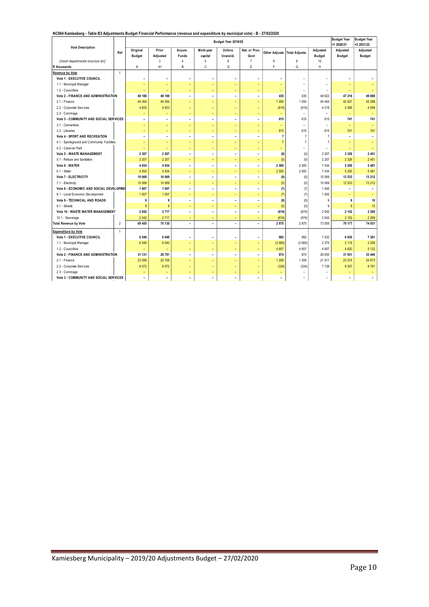#### **NC064 Kamiesberg - Table B3 Adjustments Budget Financial Performance (revenue and expenditure by municipal vote) - B - 27/02/2020**

|                                             |                         |                           |                          |                          |                          | Budget Year 2019/20      | $\overline{\phantom{0}}$ | -----                         |                          |                           | <b>Budget Year</b>        | <b>Budget Year</b>        |
|---------------------------------------------|-------------------------|---------------------------|--------------------------|--------------------------|--------------------------|--------------------------|--------------------------|-------------------------------|--------------------------|---------------------------|---------------------------|---------------------------|
| <b>Vote Description</b>                     |                         |                           |                          |                          |                          |                          |                          |                               |                          |                           | +1 2020/21                | +2 2021/22                |
|                                             | Ref                     | Original<br><b>Budget</b> | Prior<br>Adjusted        | Accum.<br>Funds          | Multi-year<br>capital    | Unfore.<br>Unavoid.      | Nat. or Prov.<br>Govt    | Other Adjusts. Total Adjusts. |                          | Adjusted<br><b>Budget</b> | Adjusted<br><b>Budget</b> | Adjusted<br><b>Budget</b> |
| [Insert departmental structure etc]         |                         |                           | $\sqrt{3}$               | $\overline{4}$           | 5                        | 6                        | $\overline{7}$           | 8                             | 9                        | 10                        |                           |                           |
| R thousands                                 |                         | Α                         | A1                       | B                        | C                        | D                        | E                        | F                             | G                        | Н                         |                           |                           |
| Revenue by Vote                             | $\overline{1}$          |                           |                          |                          |                          |                          |                          |                               |                          |                           |                           |                           |
| Vote 1 - EXECUTIVE COUNCIL                  |                         | ۰                         | $\overline{\phantom{a}}$ | $\overline{\phantom{a}}$ | $\overline{\phantom{a}}$ | $\overline{\phantom{a}}$ | $\overline{\phantom{0}}$ | $\overline{\phantom{a}}$      | $\overline{\phantom{0}}$ | -                         | $\overline{\phantom{0}}$  |                           |
| 1.1 - Municipal Manager                     |                         | ÷                         | ÷                        |                          | ÷                        | ۳                        | L,                       |                               | $\equiv$                 | ۰                         | ۳                         |                           |
| 1.2 - Councillors                           |                         | $\overline{\phantom{0}}$  | $\overline{\phantom{a}}$ | ٠                        | $\equiv$                 | $\overline{\phantom{a}}$ | $\equiv$                 | $\overline{\phantom{a}}$      | $\equiv$                 | $\equiv$                  | $\overline{\phantom{0}}$  |                           |
| <b>Vote 2 - FINANCE AND ADMINISTRATION</b>  |                         | 49 188                    | 49 188                   | $\overline{\phantom{a}}$ | $\blacksquare$           | $\overline{\phantom{a}}$ | $\blacksquare$           | 435                           | 435                      | 49 623                    | 47 216                    | 49 868                    |
| 2.1 - Finance                               |                         | 44 3 54                   | 44 3 54                  | ÷                        | $\equiv$                 | $\overline{\phantom{a}}$ | $\equiv$                 | 1 0 5 0                       | 1 0 5 0                  | 45 404                    | 42 827                    | 45 299                    |
| 2.2 - Corporate Services                    |                         | 4 8 3 3                   | 4 8 3 3                  | ۳                        | $\overline{\phantom{a}}$ | ٠                        | Ξ                        | (615)                         | (615)                    | 4 2 1 8                   | 4 3 8 9                   | 4 5 6 9                   |
| 2.3 - Commage                               |                         | ۰                         | $\overline{\phantom{a}}$ | $\overline{\phantom{a}}$ | $\equiv$                 | $\overline{\phantom{a}}$ | ٠                        |                               |                          | ٠                         | ٠                         |                           |
| Vote 3 - COMMUNITY AND SOCIAL SERVICES      |                         | $\overline{\phantom{a}}$  | $\overline{\phantom{a}}$ | ۰                        | $\blacksquare$           | ٠                        | $\overline{\phantom{0}}$ | 615                           | 615                      | 615                       | 741                       | 741                       |
| 3.1 - Cementries                            |                         | $\equiv$                  | $\equiv$                 | $\overline{\phantom{0}}$ | $\equiv$                 | ٠                        | $\equiv$                 | $\equiv$                      | $\equiv$                 | ÷.                        | $\equiv$                  |                           |
| 3.2 - Libraries                             |                         | $\overline{\phantom{a}}$  | $\overline{\phantom{a}}$ | $\overline{\phantom{0}}$ | $\overline{\phantom{0}}$ | $\overline{\phantom{a}}$ | $\overline{\phantom{0}}$ | 615                           | 615                      | 615                       | 741                       | 741                       |
| Vote 4 - SPORT AND RECREATION               |                         | $\overline{\phantom{a}}$  | $\overline{\phantom{a}}$ | $\overline{\phantom{a}}$ | $\blacksquare$           | $\blacksquare$           | $\overline{\phantom{0}}$ | $\overline{\mathbf{r}}$       | $\overline{7}$           | $\overline{7}$            | $\overline{\phantom{a}}$  | $\overline{\phantom{a}}$  |
| 4.1 - Sportsground and Community Facilities |                         | $\overline{\phantom{a}}$  | $\overline{\phantom{a}}$ | ۳                        | $\equiv$                 | $\overline{\phantom{a}}$ | ÷                        | $\overline{7}$                | $\overline{7}$           | $\overline{7}$            | ۳                         |                           |
| 4.2 - Caravan Park                          |                         | $\overline{\phantom{a}}$  | $\equiv$                 | $\overline{\phantom{a}}$ | $\equiv$                 | $\overline{\phantom{a}}$ | $\overline{\phantom{0}}$ | ٠                             | $\equiv$                 | ٠                         | $\qquad \qquad -$         |                           |
| <b>Vote 5 - WASTE MANAGEMENT</b>            |                         | 2 2 0 7                   | 2 2 0 7                  | ۰                        | $\overline{\phantom{a}}$ | $\overline{\phantom{a}}$ | $\overline{\phantom{0}}$ | (0)                           | (0)                      | 2 2 0 7                   | 2 3 2 6                   | 2 4 5 1                   |
| 5.1 - Refuse and Sanitation                 |                         | 2 2 0 7                   | 2 2 0 7                  | $\equiv$                 | $\equiv$                 | $\overline{\phantom{0}}$ | $\equiv$                 | (0)                           | (0)                      | 2 2 0 7                   | 2 3 2 6                   | 2451                      |
| Vote 6 - WATER                              |                         | 4 9 3 4                   | 4934                     | $\overline{\phantom{0}}$ | $\blacksquare$           | $\overline{\phantom{a}}$ | $\blacksquare$           | 2 500                         | 2 500                    | 7 4 3 4                   | 5 200                     | 5 4 8 1                   |
| 6.1 - Water                                 |                         | 4 9 3 4                   | 4 9 3 4                  | $\overline{\phantom{a}}$ | $\equiv$                 | $\overline{\phantom{a}}$ | $\equiv$                 | 2 500                         | 2 500                    | 7 4 3 4                   | 5 200                     | 5 4 8 1                   |
| Vote 7 - ELECTRICITY                        |                         | 10 069                    | 10 069                   | $\overline{\phantom{a}}$ | $\overline{\phantom{a}}$ | $\overline{\phantom{a}}$ | $\overline{\phantom{a}}$ | (0)                           | (0)                      | 10 069                    | 12 533                    | 13 212                    |
| 7.1 - Electricity                           |                         | 10 069                    | 10 069                   | ÷                        | ÷                        | $\overline{\phantom{a}}$ | ÷                        | (0)                           | (0)                      | 10 069                    | 12 533                    | 13 212                    |
| Vote 8 - ECONOMIC AND SOCIAL DEVELOPMEI     |                         | 1 007                     | 1 0 0 7                  | $\overline{\phantom{a}}$ | $\overline{\phantom{a}}$ | $\overline{\phantom{a}}$ | $\overline{\phantom{0}}$ | (7)                           | (7)                      | 1 000                     | $\overline{\phantom{0}}$  | $\overline{\phantom{a}}$  |
| 8.1 - Local Economic Development            |                         | 1 0 0 7                   | 1 0 0 7                  | ٠                        | $\equiv$                 | $\qquad \qquad -$        | $\equiv$                 | (7)                           | (7)                      | 1 000                     | $\qquad \qquad -$         | ٠                         |
| <b>Vote 9 - TECHNICAL AND ROADS</b>         |                         | 9                         | 9                        | $\overline{\phantom{a}}$ | $\overline{\phantom{a}}$ | $\overline{\phantom{a}}$ | $\overline{\phantom{0}}$ | (0)                           | (0)                      | 9                         | 9                         | $10$                      |
| 9.1 - Streets                               |                         | 9                         | 9                        | ÷                        | $\qquad \qquad -$        | $\overline{\phantom{a}}$ | Ξ                        | (0)                           | (0)                      | 9                         | $\overline{9}$            | 10                        |
| Vote 10 - WASTE WATER MANAGEMENT            |                         | 2 0 4 2                   | 2717                     | $\overline{\phantom{a}}$ | $\overline{\phantom{a}}$ | $\overline{\phantom{a}}$ | $\overline{\phantom{a}}$ | (674)                         | (674)                    | 2 0 4 2                   | 2 152                     | 2 2 6 9                   |
| 10.1 - Sew erage                            |                         | 2 0 4 2                   | 2717                     | ۳                        | $\equiv$                 | $\equiv$                 | $\equiv$                 | (674)                         | (674)                    | 2 0 4 2                   | 2 152                     | 2 2 6 9                   |
| <b>Total Revenue by Vote</b>                | $\overline{\mathbf{c}}$ | 69 455                    | 70 130                   | $\overline{\phantom{a}}$ | $\blacksquare$           | $\overline{\phantom{a}}$ | L,                       | 2875                          | 2875                     | 73 005                    | 70 177                    | 74 031                    |
| <b>Expenditure by Vote</b>                  | $\overline{1}$          |                           |                          |                          |                          |                          |                          |                               |                          |                           |                           |                           |
| <b>Vote 1 - EXECUTIVE COUNCIL</b>           |                         | 6 5 4 0                   | 6 0 4 0                  | ۰                        | $\overline{\phantom{0}}$ | ٠                        | $\overline{\phantom{0}}$ | 992                           | 992                      | 7 0 3 2                   | 6939                      | 7 3 8 1                   |
| 1.1 - Municipal Manager                     |                         | 6 5 4 0                   | 6 0 4 0                  | ÷                        | $\equiv$                 | ٠                        | $\equiv$                 | (3665)                        | (3665)                   | 2 3 7 5                   | 2 1 1 9                   | 2 2 5 9                   |
| 1.2 - Councillors                           |                         |                           |                          | $\overline{\phantom{0}}$ | $\equiv$                 | ٠                        | ٠                        | 4 6 5 7                       | 4657                     | 4 6 5 7                   | 4 8 20                    | 5 1 2 2                   |
| Vote 2 - FINANCE AND ADMINISTRATION         |                         | 31 131                    | 28 781                   | $\overline{\phantom{a}}$ | $\overline{\phantom{a}}$ | $\overline{\phantom{a}}$ | $\overline{\phantom{0}}$ | 874                           | 874                      | 29 655                    | 31 931                    | 33 440                    |
| 2.1 - Finance                               |                         | 23 059                    | 20 709                   | ÷                        | $\equiv$                 | $\overline{\phantom{a}}$ | ◆                        | 1 208                         | 1 2 0 8                  | 21 917                    | 23 574                    | 24 673                    |
| 2.2 - Corporate Services                    |                         | 8 0 7 2                   | 8 0 7 2                  | $\overline{\phantom{0}}$ | $\qquad \qquad -$        | ٠                        | ٠                        | (334)                         | (334)                    | 7738                      | 8 3 5 7                   | 8767                      |
| 2.3 - Commage                               |                         |                           | $\overline{\phantom{0}}$ | $\overline{\phantom{0}}$ | ٠                        | ٠                        |                          |                               |                          |                           |                           |                           |
| Vote 3 - COMMUNITY AND SOCIAL SERVICES      |                         | $\overline{\phantom{a}}$  | $\overline{\phantom{a}}$ | $\overline{\phantom{a}}$ | $\blacksquare$           | $\overline{\phantom{a}}$ | $\overline{\phantom{0}}$ | $\overline{\phantom{a}}$      | $\equiv$                 | $\equiv$                  | $\blacksquare$            | $\overline{\phantom{a}}$  |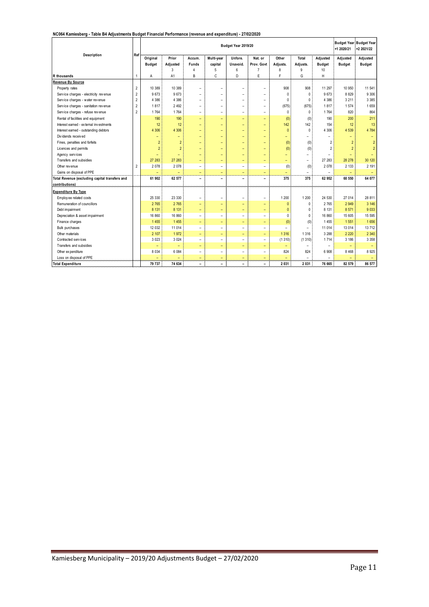#### **NC064 Kamiesberg - Table B4 Adjustments Budget Financial Performance (revenue and expenditure) - 27/02/2020**

| Description                                    |                | Budget Year 2019/20<br>Ref |                          |                          |                          |                          |                          |                          |                          | +1 2020/21               | <b>Budget Year Budget Year</b><br>+2 2021/22 |                |
|------------------------------------------------|----------------|----------------------------|--------------------------|--------------------------|--------------------------|--------------------------|--------------------------|--------------------------|--------------------------|--------------------------|----------------------------------------------|----------------|
|                                                |                | Original                   | Prior                    | Accum.                   | Multi-year               | Unfore.                  | Nat. or                  | Other                    | Total                    | Adjusted                 | Adjusted                                     | Adjusted       |
|                                                |                | Budget                     | Adjusted                 | <b>Funds</b>             | capital                  | Unavoid.                 | Prov. Govt               | Adjusts.                 | Adjusts.                 | <b>Budget</b>            | <b>Budget</b>                                | <b>Budget</b>  |
|                                                |                |                            | 3                        | $\Delta$<br>B            | 5<br>Ć                   | 6<br>D                   | $\overline{7}$<br>E      | 8<br>F                   | 9<br>G                   | 10<br>H                  |                                              |                |
| R thousands<br>Revenue By Source               | $\overline{1}$ | Α                          | A <sub>1</sub>           |                          |                          |                          |                          |                          |                          |                          |                                              |                |
| Property rates                                 | $\overline{2}$ | 10 389                     | 10 389                   | ۰                        | $\overline{\phantom{0}}$ | -                        | $\overline{\phantom{a}}$ | 908                      | 908                      | 11 297                   | 10 950                                       | 11 541         |
| Service charges - electricity revenue          | $\overline{2}$ | 9673                       | 9673                     | $\overline{\phantom{0}}$ | $\overline{a}$           | -                        | $\overline{\phantom{a}}$ | 0                        | $\theta$                 | 9673                     | 8829                                         | 9 3 0 6        |
| Service charges - water revenue                | $\overline{2}$ | 4 3 8 6                    | 4 3 8 6                  | $\overline{\phantom{0}}$ | $\overline{a}$           | -                        | $\overline{a}$           | 0                        | $\mathbf{0}$             | 4 3 8 6                  | 3 2 1 1                                      | 3 3 8 5        |
| Service charges - sanitation revenue           | $\overline{2}$ | 1817                       | 2 4 9 2                  | $\overline{a}$           | $\overline{a}$           | -                        | $\overline{a}$           | (675)                    | (675)                    | 1817                     | 1574                                         | 1659           |
| Service charges - refuse revenue               | $\overline{2}$ | 1764                       | 1764                     | $\overline{\phantom{0}}$ | $\overline{a}$           | -                        | $\overline{\phantom{0}}$ | 0                        | $\Omega$                 | 1764                     | 820                                          | 864            |
| Rental of facilities and equipment             |                | 190                        | 190                      | ۳                        | ÷                        | -                        | ÷                        | (0)                      | (0)                      | 190                      | 200                                          | 211            |
| Interest earned - external investments         |                | 12                         | 12                       | $\overline{\phantom{0}}$ | $\overline{\phantom{0}}$ | $\overline{\phantom{0}}$ | $\overline{\phantom{0}}$ | 142                      | 142                      | 154                      | 12                                           | 13             |
| Interest earned - outstanding debtors          |                | 4 3 0 6                    | 4 3 0 6                  | Ξ                        | ÷                        | ÷                        | $\equiv$                 | $\mathbf{0}$             | $\Omega$                 | 4 3 0 6                  | 4 5 3 9                                      | 4 7 8 4        |
| Dividends received                             |                | ÷,                         | $\equiv$                 | ÷                        | $\equiv$                 | $\overline{\phantom{0}}$ | $\equiv$                 | ÷                        | $\overline{a}$           | -                        | ÷                                            | $\equiv$       |
| Fines, penalties and forfeits                  |                | $\overline{2}$             | $\overline{2}$           | ÷                        | $\overline{\phantom{0}}$ | $\overline{\phantom{0}}$ | ÷                        | (0)                      | (0)                      | $\overline{2}$           | $\overline{2}$                               | $\overline{2}$ |
| Licences and permits                           |                | $\overline{2}$             | $\overline{2}$           | ۳                        | ÷                        | ÷                        | $\qquad \qquad -$        | (0)                      | (0)                      | $\overline{2}$           | $\overline{2}$                               | $\overline{2}$ |
| Agency services                                |                | Ξ                          | ÷                        | Ξ                        | ÷                        | ÷                        | $\equiv$                 | ÷                        | Ξ.                       |                          | $\overline{\phantom{0}}$                     |                |
| Transfers and subsidies                        |                | 27 283                     | 27 283                   | ÷                        | $\overline{\phantom{0}}$ | -                        | $\qquad \qquad -$        | $\overline{\phantom{0}}$ | $\overline{a}$           | 27 28 3                  | 28 278                                       | 30 120         |
| Other rev enue                                 | $\overline{2}$ | 2078                       | 2 0 7 8                  | $\overline{a}$           | $\overline{\phantom{0}}$ | $\overline{\phantom{0}}$ | $\overline{\phantom{a}}$ | (0)                      | (0)                      | 2 0 7 8                  | 2 1 3 3                                      | 2 1 9 1        |
| Gains on disposal of PPE                       |                | $\overline{\phantom{0}}$   | $\overline{\phantom{a}}$ | Ξ                        | Ξ                        | ÷                        | $\equiv$                 | $\overline{\phantom{0}}$ | $\overline{\phantom{0}}$ | $\sim$                   |                                              |                |
| Total Revenue (excluding capital transfers and |                | 61 902                     | 62 577                   | ۰                        | $\overline{\phantom{0}}$ | -                        | $\overline{\phantom{0}}$ | 375                      | 375                      | 62 952                   | 60 550                                       | 64 077         |
| contributions)                                 |                |                            |                          |                          |                          |                          |                          |                          |                          |                          |                                              |                |
| <b>Expenditure By Type</b>                     |                |                            |                          |                          |                          |                          |                          |                          |                          |                          |                                              |                |
| Employee related costs                         |                | 25 330                     | 23 330                   | $\qquad \qquad -$        | $\overline{a}$           | -                        | $\overline{a}$           | 1 200                    | 1 200                    | 24 530                   | 27 014                                       | 28 811         |
| Remuneration of councillors                    |                | 2 7 6 5                    | 2765                     | ۳                        | $\equiv$                 | ÷                        | $\qquad \qquad -$        | $\Omega$                 | $\theta$                 | 2 7 6 5                  | 2 9 4 9                                      | 3 146          |
| Debt impairment                                |                | 8 1 3 1                    | 8 1 3 1                  | ÷,                       | $\overline{\phantom{0}}$ | $\overline{\phantom{0}}$ | ÷                        | $\mathbf{0}$             | $\Omega$                 | 8 1 3 1                  | 8571                                         | 9 0 3 3        |
| Depreciation & asset impairment                |                | 16 860                     | 16 860                   | $\overline{a}$           | $\overline{a}$           | -                        | $\overline{\phantom{0}}$ | $\Omega$                 | $\Omega$                 | 16 860                   | 15 605                                       | 15 5 95        |
| Finance charges                                |                | 1455                       | 1455                     | ÷                        | ÷                        | $\overline{\phantom{0}}$ | $\overline{\phantom{a}}$ | (0)                      | (0)                      | 1455                     | 1551                                         | 1656           |
| <b>Bulk purchases</b>                          |                | 12 0 32                    | 11 0 14                  | $\overline{a}$           | $\overline{a}$           | $\overline{\phantom{0}}$ | $\overline{\phantom{a}}$ | $\overline{\phantom{a}}$ | $\overline{\phantom{0}}$ | 11 014                   | 13 0 14                                      | 13 712         |
| Other materials                                |                | 2 10 7                     | 1972                     | ÷                        | ÷                        | ÷,                       | $\equiv$                 | 1 3 1 6                  | 1 3 1 6                  | 3 2 8 8                  | 2 2 2 0                                      | 2 3 4 0        |
| Contracted services                            |                | 3 0 2 3                    | 3 0 24                   | $\overline{a}$           | $\overline{\phantom{0}}$ | $\overline{\phantom{0}}$ | $\overline{a}$           | (1310)                   | (1310)                   | 1 7 1 4                  | 3 186                                        | 3 3 5 8        |
| Transfers and subsidies                        |                | ۳                          | $\overline{\phantom{0}}$ | $\overline{\phantom{0}}$ | $\overline{\phantom{0}}$ | $\overline{\phantom{0}}$ | $\overline{\phantom{a}}$ |                          | $\overline{\phantom{0}}$ | $\overline{\phantom{0}}$ | $\overline{\phantom{0}}$                     |                |
| Other expenditure                              |                | 8 0 3 4                    | 6 0 8 4                  | $\overline{a}$           | $\overline{\phantom{0}}$ | $\overline{\phantom{0}}$ | $\overline{a}$           | 824                      | 824                      | 6 9 0 8                  | 8 4 6 8                                      | 8925           |
| Loss on disposal of PPE                        |                |                            |                          | ÷                        | ÷                        | $\overline{\phantom{0}}$ | $\equiv$                 |                          |                          |                          |                                              |                |
| <b>Total Expenditure</b>                       |                | 79 737                     | 74 634                   | $\overline{\phantom{0}}$ | $\overline{\phantom{0}}$ | -                        | $\overline{\phantom{a}}$ | 2 0 3 1                  | 2 0 3 1                  | 76 665                   | 82 579                                       | 86 577         |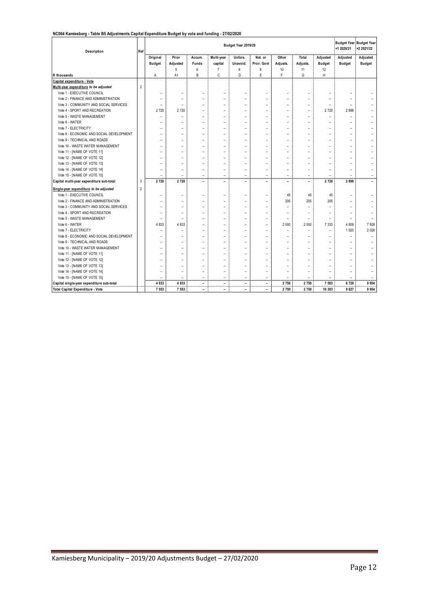#### **NC064 Kamiesberg - Table B5 Adjustments Capital Expenditure Budget by vote and funding - 27/02/2020**

| Description                               | Ref            | Budget Year 2019/20      |                          |                          |                          |                          |                          |                          |                          | <b>Budget Year Budget Year</b><br>+1 2020/21 | +2 2021/22               |               |
|-------------------------------------------|----------------|--------------------------|--------------------------|--------------------------|--------------------------|--------------------------|--------------------------|--------------------------|--------------------------|----------------------------------------------|--------------------------|---------------|
|                                           |                | Original                 | Prior                    | Accum.                   | Multi-year               | Unfore.                  | Nat. or                  | Other                    | Total                    | Adjusted                                     | Adjusted                 | Adjusted      |
|                                           |                | <b>Budget</b>            | Adjusted                 | <b>Funds</b>             | capital                  | Unavoid.                 | Prov. Govt               | Adjusts.                 | Adjusts.                 | <b>Budget</b>                                | <b>Budget</b>            | <b>Budget</b> |
|                                           |                |                          | 5                        | 6                        | 7                        | 8                        | 9                        | 10                       | 11                       | 12                                           |                          |               |
| R thousands                               |                | Α                        | A1                       | B                        | C                        | D                        | E                        | F                        | G                        | H                                            |                          |               |
| Capital expenditure - Vote                |                |                          |                          |                          |                          |                          |                          |                          |                          |                                              |                          |               |
| Multi-year expenditure to be adjusted     | $\overline{2}$ |                          |                          |                          |                          |                          |                          |                          |                          |                                              |                          |               |
| Vote 1 - EXECUTIVE COUNCIL                |                |                          |                          | $\overline{a}$           | ÷                        | ÷                        | $\overline{\phantom{a}}$ |                          |                          |                                              |                          |               |
| Vote 2 - FINANCE AND ADMINISTRATION       |                |                          | $\overline{a}$           | $\overline{\phantom{0}}$ | $\overline{\phantom{0}}$ |                          |                          | -                        | $\overline{\phantom{0}}$ |                                              |                          |               |
| Vote 3 - COMMUNITY AND SOCIAL SERVICES    |                | $\overline{\phantom{0}}$ |                          |                          | $\overline{a}$           |                          |                          | $\overline{\phantom{0}}$ |                          |                                              |                          |               |
| Vote 4 - SPORT AND RECREATION             |                | 2720                     | 2720                     |                          | $\overline{\phantom{a}}$ |                          |                          | $\overline{a}$           |                          | 2 7 2 0                                      | 2898                     |               |
| Vote 5 - WASTE MANAGEMENT                 |                | ۰                        | ÷                        | $\overline{a}$           | $\overline{\phantom{0}}$ | ۰                        | ۰                        | -                        | $\overline{\phantom{0}}$ | $\overline{a}$                               | $\overline{\phantom{a}}$ |               |
| Vote 6 - WATER                            |                |                          |                          |                          |                          | ۰                        |                          | -                        | $\overline{a}$           |                                              |                          |               |
| Vote 7 - ELECTRICITY                      |                |                          | $\overline{a}$           | $\overline{a}$           | $\overline{a}$           | $\overline{a}$           | L,                       | $\overline{a}$           | $\overline{a}$           | $\overline{a}$                               |                          |               |
| Vote 8 - ECONOMIC AND SOCIAL DEVELOPMENT  |                |                          |                          |                          |                          |                          |                          |                          |                          |                                              |                          |               |
| Vote 9 - TECHNICAL AND ROADS              |                |                          | $\overline{a}$           | $\overline{\phantom{a}}$ | $\overline{\phantom{a}}$ | ۰                        | $\overline{\phantom{a}}$ | $\overline{a}$           | $\overline{a}$           | $\overline{\phantom{a}}$                     | $\overline{\phantom{a}}$ |               |
| Vote 10 - WASTE WATER MANAGEMENT          |                |                          | $\overline{\phantom{0}}$ | $\overline{a}$           | $\overline{\phantom{0}}$ | ۰                        | $\overline{\phantom{0}}$ | $\overline{\phantom{0}}$ | $\overline{\phantom{0}}$ | $\overline{\phantom{0}}$                     | $\overline{\phantom{a}}$ |               |
| Vote 11 - [NAME OF VOTE 11]               |                |                          | $\overline{\phantom{0}}$ | $\overline{a}$           | $\overline{a}$           | $\overline{\phantom{a}}$ | $\overline{a}$           |                          | $\overline{\phantom{0}}$ | $\overline{\phantom{0}}$                     |                          |               |
| Vote 12 - [NAME OF VOTE 12]               |                |                          | ۳                        | $\overline{a}$           | ۰                        | ۰                        | ۰                        | ۳                        |                          | ۳                                            |                          |               |
| Vote 13 - [NAME OF VOTE 13]               |                |                          |                          |                          |                          |                          |                          |                          |                          |                                              |                          |               |
| Vote 14 - [NAME OF VOTE 14]               |                |                          | ۳                        |                          |                          | ۰                        |                          |                          |                          |                                              |                          |               |
| Vote 15 - [NAME OF VOTE 15]               |                | $\overline{a}$           | ÷                        | ÷,                       | ÷                        | ÷                        | ÷                        | ۳                        | ÷                        | $\overline{a}$                               | L.                       |               |
| Capital multi-year expenditure sub-total  | 3              | 2 7 2 0                  | 2720                     | -                        | -                        | $\overline{a}$           | $\overline{a}$           | -                        | $\qquad \qquad -$        | 2720                                         | 2898                     |               |
| Single-year expenditure to be adjusted    | $\overline{2}$ |                          |                          |                          |                          |                          |                          |                          |                          |                                              |                          |               |
| Vote 1 - EXECUTIVE COUNCIL                |                |                          |                          |                          | $\overline{a}$           | $\overline{a}$           | $\overline{a}$           | 45                       | 45                       | 45                                           |                          |               |
| Vote 2 - FINANCE AND ADMINISTRATION       |                |                          | -                        |                          | $\overline{a}$           |                          |                          | 205                      | 205                      | 205                                          |                          |               |
| Vote 3 - COMMUNITY AND SOCIAL SERVICES    |                |                          | $\overline{\phantom{0}}$ | $\overline{\phantom{0}}$ | $\overline{a}$           |                          |                          |                          |                          |                                              |                          |               |
| Vote 4 - SPORT AND RECREATION             |                |                          | $\overline{\phantom{0}}$ | $\overline{a}$           | ۰                        | ۰                        | $\overline{\phantom{0}}$ | ۳                        | $\overline{\phantom{0}}$ | $\overline{\phantom{0}}$                     |                          |               |
| Vote 5 - WASTE MANAGEMENT                 |                | $\overline{\phantom{0}}$ |                          |                          |                          |                          | ۰                        | $\overline{\phantom{0}}$ |                          |                                              |                          |               |
| Vote 6 - WATER                            |                | 4 8 3 3                  | 4833                     | $\overline{\phantom{0}}$ | ÷                        | ۰                        | ÷                        | 2 500                    | 2 500                    | 7 3 3 3                                      | 4 8 0 9                  | 7928          |
| Vote 7 - ELECTRICITY                      |                |                          |                          |                          | $\overline{a}$           | ۰                        | L,                       | $\overline{a}$           | $\overline{a}$           |                                              | 1920                     | 2026          |
| Vote 8 - ECONOMIC AND SOCIAL DEVELOPMENT  |                |                          |                          | -                        | $\overline{\phantom{0}}$ |                          | $\overline{\phantom{a}}$ |                          |                          | $\overline{a}$                               |                          |               |
| Vote 9 - TECHNICAL AND ROADS              |                |                          | $\overline{\phantom{0}}$ | $\overline{a}$           | $\overline{\phantom{0}}$ | $\overline{\phantom{0}}$ | ۰                        | $\overline{\phantom{0}}$ | $\overline{\phantom{0}}$ | $\overline{\phantom{0}}$                     |                          |               |
| Vote 10 - WASTE WATER MANAGEMENT          |                | $\overline{a}$           | $\overline{\phantom{0}}$ | $\overline{a}$           | $\overline{\phantom{0}}$ | ۰                        | $\overline{\phantom{0}}$ | $\overline{\phantom{0}}$ | $\overline{\phantom{0}}$ | ۳                                            | $\overline{\phantom{0}}$ |               |
| Vote 11 - [NAME OF VOTE 11]               |                |                          | $\overline{\phantom{0}}$ | $\overline{a}$           | $\overline{\phantom{0}}$ | $\overline{\phantom{a}}$ | $\overline{\phantom{0}}$ | $\overline{\phantom{0}}$ | $\overline{\phantom{0}}$ | $\overline{\phantom{0}}$                     | $\overline{\phantom{0}}$ |               |
| Vote 12 - [NAME OF VOTE 12]               |                |                          |                          |                          |                          |                          |                          |                          |                          |                                              |                          |               |
| Vote 13 - [NAME OF VOTE 13]               |                |                          |                          |                          |                          |                          |                          |                          |                          |                                              |                          |               |
| Vote 14 - [NAME OF VOTE 14]               |                |                          |                          |                          |                          |                          |                          |                          |                          |                                              |                          |               |
| Vote 15 - [NAME OF VOTE 15]               |                |                          | ÷                        | ÷,                       | $\overline{a}$           | ÷                        | ÷                        |                          |                          |                                              |                          |               |
| Capital single-year expenditure sub-total |                | 4 8 3 3                  | 4833                     | $\overline{\phantom{0}}$ | $\overline{\phantom{a}}$ | ۰                        | $\overline{\phantom{a}}$ | 2 750                    | 2750                     | 7 5 8 3                                      | 6729                     | 9954          |
| Total Capital Expenditure - Vote          |                | 7 5 5 3                  | 7 5 5 3                  | $\overline{\phantom{0}}$ |                          | $\overline{\phantom{0}}$ | $\overline{a}$           | 2 750                    | 2750                     | 10 303                                       | 9 6 27                   | 9954          |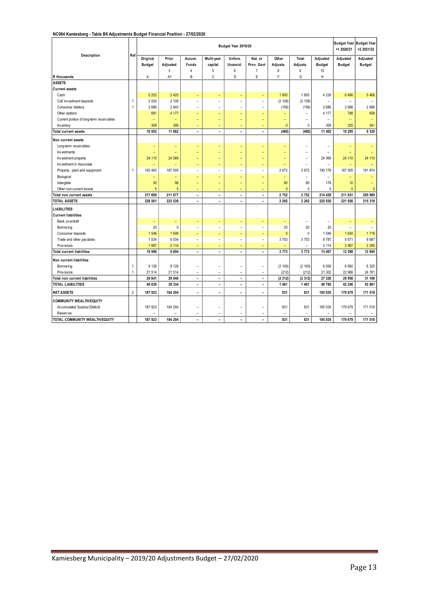#### **NC064 Kamiesberg - Table B6 Adjustments Budget Financial Position - 27/02/2020**

|                                           |                |                           |                          |                                                      | +1 2020/21                                 | Budget Year Budget Year<br>+2 2021/22      |                                            |                        |                          |                                 |                           |                           |
|-------------------------------------------|----------------|---------------------------|--------------------------|------------------------------------------------------|--------------------------------------------|--------------------------------------------|--------------------------------------------|------------------------|--------------------------|---------------------------------|---------------------------|---------------------------|
| Description                               | Ref            | Original<br><b>Budget</b> | Prior<br>Adjusted<br>3   | Accum.<br><b>Funds</b><br>$\overline{4}$             | Multi-year<br>capital<br>5                 | Unfore.<br>Unavoid.<br>6                   | Nat. or<br>Prov. Govt<br>$\overline{7}$    | Other<br>Adjusts.<br>8 | Total<br>Adjusts.<br>9   | Adjusted<br><b>Budget</b><br>10 | Adjusted<br><b>Budget</b> | Adjusted<br><b>Budget</b> |
| R thousands                               |                | Α                         | A <sub>1</sub>           | B                                                    | Ć                                          | D                                          | E                                          | F                      | G                        | Η                               |                           |                           |
| <b>ASSETS</b>                             |                |                           |                          |                                                      |                                            |                                            |                                            |                        |                          |                                 |                           |                           |
| <b>Current assets</b>                     |                |                           |                          |                                                      |                                            |                                            |                                            |                        |                          |                                 |                           |                           |
| Cash                                      |                | 5 2 5 2                   | 2 4 2 5                  | $\equiv$                                             | $\overline{\phantom{a}}$                   | $\overline{\phantom{0}}$                   | $\overline{\phantom{a}}$                   | 1805                   | 1805                     | 4 2 3 0                         | 6496                      | 5 4 6 6                   |
| Call investment deposits                  | 1              | 2 0 24                    | 2 108                    | $\overline{\phantom{a}}$                             | $\overline{\phantom{a}}$                   | $\overline{a}$                             | $\overline{\phantom{a}}$                   | (2 108)                | (2 108)                  | $\overline{\phantom{a}}$        | ۳                         |                           |
| Consumer debtors                          | 1              | 2686                      | 2 8 4 3                  | $\overline{a}$                                       | $\overline{a}$                             | $\overline{a}$                             | $\overline{a}$                             | (156)                  | (156)                    | 2686                            | 2686                      | 2686                      |
| Other debtors                             |                | 681                       | 4 177                    | $\overline{\phantom{0}}$                             | ۳                                          | Ξ                                          | $\overline{\phantom{a}}$                   | Ξ                      | $\overline{\phantom{0}}$ | 4 177                           | 788                       | 836                       |
| Current portion of long-term receiv ables |                | $\qquad \qquad -$         | ÷,                       | ۳                                                    | L.                                         | L                                          | ٠                                          | Ξ                      | $\overline{\phantom{0}}$ | $\overline{a}$                  | $\overline{\phantom{0}}$  | ٠                         |
| Inv entory                                |                | 309                       | 309                      | $\equiv$                                             | $\overline{\phantom{0}}$                   | $\overline{\phantom{0}}$                   | $\overline{\phantom{0}}$                   | $\Omega$               | 0                        | 309                             | 325                       | 341                       |
| Total current assets                      |                | 10 952                    | 11 862                   | $\overline{\phantom{a}}$                             | $\overline{\phantom{a}}$                   | $\overline{\phantom{a}}$                   | $\overline{\phantom{a}}$                   | (460)                  | (460)                    | 11 402                          | 10 295                    | 9 3 3 0                   |
| Non current assets                        |                |                           |                          |                                                      |                                            |                                            |                                            |                        |                          |                                 |                           |                           |
| Long-term receivables                     |                | ۰                         | ۰                        | $\overline{\phantom{0}}$                             | ÷                                          | ÷                                          | ۰                                          | -                      | $\overline{a}$           | $\overline{a}$                  | L,                        |                           |
| Investments                               |                | ٠                         | $\overline{\phantom{0}}$ | $\overline{\phantom{0}}$                             | $\overline{\phantom{0}}$                   | Ξ                                          | $\overline{\phantom{0}}$                   | -                      | $\overline{\phantom{0}}$ | $\overline{a}$                  | -                         |                           |
| Investment property                       |                | 24 110                    | 24 069                   | $\equiv$                                             | $\overline{\phantom{0}}$                   | -                                          | ٠                                          | ۰                      | $\overline{a}$           | 24 069                          | 24 110                    | 24 110                    |
| Investment in Associate                   |                | ÷                         | L.                       | ÷                                                    | $\overline{\phantom{0}}$                   | Ξ                                          | $\overline{\phantom{0}}$                   | ۳                      | $\overline{a}$           | $\overline{a}$                  | Ξ                         |                           |
| Property, plant and equipment             | 1              | 193 463                   | 187 505                  | $\overline{a}$                                       | $\overline{a}$                             | $\overline{a}$                             | $\overline{a}$                             | 2672                   | 2672                     | 190 176                         | 187 505                   | 181 874                   |
| Biological                                |                | ÷                         | $\overline{\phantom{0}}$ | L,                                                   | ÷,                                         | L                                          | L.                                         | ÷,                     | $\overline{\phantom{0}}$ | $\overline{a}$                  | -                         |                           |
| Intangible                                |                | 30                        | 98                       | $\overline{\phantom{0}}$                             | $\overline{\phantom{0}}$                   | -                                          | $\overline{\phantom{0}}$                   | 80                     | 80                       | 178                             | 10                        |                           |
| Other non-current assets                  |                | 5                         | 5                        | $\equiv$                                             | $\equiv$                                   | -                                          | $\overline{\phantom{a}}$                   | $\mathbf{0}$           | 0                        | 5                               | 5                         | 5                         |
| otal non current assets                   |                | 217 609                   | 211 677                  | $\overline{\phantom{a}}$                             | $\overline{\phantom{m}}$                   | $\overline{a}$                             | $\blacksquare$                             | 2752                   | 2752                     | 214 428                         | 211 631                   | 205 989                   |
| <b>TOTAL ASSETS</b>                       |                | 228 561                   | 223 538                  | $\blacksquare$                                       | $\overline{\phantom{a}}$                   | $\overline{\phantom{a}}$                   | $\blacksquare$                             | 2 2 9 2                | 2 2 9 2                  | 225 830                         | 221 926                   | 215 319                   |
| <b>LIABILITIES</b>                        |                |                           |                          |                                                      |                                            |                                            |                                            |                        |                          |                                 |                           |                           |
| <b>Current liabilities</b>                |                |                           |                          |                                                      |                                            |                                            |                                            |                        |                          |                                 |                           |                           |
| Bank ov erdraft                           |                | $\overline{\phantom{0}}$  | $\overline{\phantom{0}}$ | $\equiv$                                             | $\overline{\phantom{0}}$                   | ÷                                          | ÷                                          | ÷,                     | $\overline{\phantom{0}}$ | $\overline{a}$                  | ÷,                        |                           |
| Borrow ing                                |                | 20                        | $\pmb{0}$                | $\overline{a}$                                       | $\overline{a}$                             | $\overline{a}$                             | $\overline{a}$                             | 20                     | 20                       | 20                              | $\overline{a}$            | $\overline{\phantom{a}}$  |
| Consumer deposits                         |                | 1 5 4 6                   | 1 546                    | $\overline{\phantom{a}}$                             | $\qquad \qquad -$                          | $\overline{\phantom{0}}$                   | $\qquad \qquad -$                          | $\mathbf{0}$           | 0                        | 1 5 4 6                         | 1 6 3 0                   | 1 7 1 8                   |
| Trade and other pay ables                 |                | 7 5 3 4                   | 6 0 3 4                  | $\overline{\phantom{a}}$                             | $\overline{\phantom{a}}$                   | $\overline{\phantom{0}}$                   | $\overline{\phantom{a}}$                   | 3753                   | 3753                     | 9787                            | 8571                      | 8 6 8 7                   |
| Prov isions                               |                | 1897                      | 2 1 1 4                  | $\overline{\phantom{0}}$                             | $\overline{\phantom{0}}$                   | $\overline{\phantom{0}}$                   | $\overline{\phantom{0}}$                   | ٠                      | $\overline{\phantom{0}}$ | 2 1 1 4                         | 2 0 8 7                   | 2 2 9 0                   |
| <b>Total current liabilities</b>          |                | 10 998                    | 9 6 9 4                  | $\blacksquare$                                       | $\overline{\phantom{a}}$                   | $\blacksquare$                             | $\overline{\phantom{a}}$                   | 3773                   | 3773                     | 13 467                          | 12 288                    | 12 695                    |
|                                           |                |                           |                          |                                                      |                                            |                                            |                                            |                        |                          |                                 |                           |                           |
| Non current liabilities<br>Borrow ing     | 1              | 8 1 2 6                   | 8 1 2 6                  |                                                      |                                            |                                            |                                            | (2 100)                |                          | 6 0 26                          | 6992                      | 6 3 2 5                   |
| Prov isions                               | 1              | 21 514                    | 21 514                   | $\overline{\phantom{a}}$<br>$\overline{\phantom{a}}$ | $\overline{a}$                             | $\overline{a}$                             | $\overline{\phantom{a}}$                   | (212)                  | (2 100)<br>(212)         | 21 302                          | 22 966                    | 24 781                    |
| Total non current liabilities             |                | 29 641                    | 29 640                   | $\overline{\phantom{a}}$                             | $\overline{a}$<br>$\overline{\phantom{a}}$ | $\overline{a}$<br>$\overline{\phantom{a}}$ | $\overline{a}$<br>$\overline{\phantom{a}}$ | (2312)                 | (2312)                   | 27 328                          | 29 958                    | 31 106                    |
| <b>TOTAL LIABILITIES</b>                  |                | 40 639                    | 39 334                   | $\overline{\phantom{a}}$                             | $\overline{\phantom{a}}$                   | $\overline{a}$                             | $\overline{\phantom{a}}$                   | 1461                   | 1461                     | 40 795                          | 42 246                    | 43 801                    |
|                                           |                |                           |                          |                                                      |                                            |                                            |                                            |                        |                          |                                 |                           |                           |
| <b>NET ASSETS</b>                         | $\overline{c}$ | 187 923                   | 184 204                  | $\overline{\phantom{a}}$                             | $\overline{a}$                             | $\overline{a}$                             | $\blacksquare$                             | 831                    | 831                      | 185 035                         | 179 679                   | 171 518                   |
| <b>COMMUNITY WEALTH/EQUITY</b>            |                |                           |                          |                                                      |                                            |                                            |                                            |                        |                          |                                 |                           |                           |
| Accumulated Surplus/(Deficit)             |                | 187 923                   | 184 204                  | $\overline{\phantom{a}}$                             | $\overline{\phantom{a}}$                   | $\overline{a}$                             | $\overline{\phantom{a}}$                   | 831                    | 831                      | 185 035                         | 179 679                   | 171 518                   |
| <b>Reserves</b>                           |                |                           |                          | $\overline{\phantom{0}}$                             | $\overline{a}$                             | $\overline{a}$                             | $\overline{a}$                             | $\overline{a}$         | $\overline{a}$           |                                 |                           |                           |
| TOTAL COMMUNITY WEALTH/EQUITY             |                | 187 923                   | 184 204                  | $\blacksquare$                                       | $\overline{\phantom{a}}$                   | ۰                                          | $\overline{\phantom{a}}$                   | 831                    | 831                      | 185 035                         | 179 679                   | 171 518                   |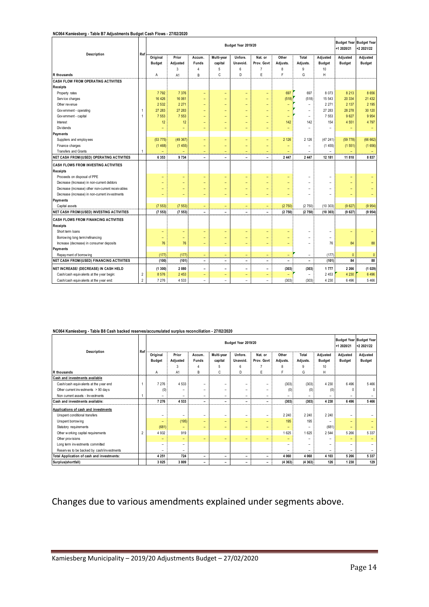#### **NC064 Kamiesberg - Table B7 Adjustments Budget Cash Flows - 27/02/2020**

| Description                                       | Ref            |                   |          |                               | +1 2020/21               | Budget Year Budget Year<br>+2 2021/22 |                               |                          |                          |                          |               |                          |
|---------------------------------------------------|----------------|-------------------|----------|-------------------------------|--------------------------|---------------------------------------|-------------------------------|--------------------------|--------------------------|--------------------------|---------------|--------------------------|
|                                                   |                | Original          | Prior    | Accum.                        | Multi-year               | Unfore.                               | Nat. or                       | Other                    | Total                    | Adjusted                 | Adjusted      | Adjusted                 |
|                                                   |                | <b>Budget</b>     | Adjusted | Funds                         | capital                  | Unavoid.                              | Prov. Govt                    | Adjusts.                 | Adjusts.                 | <b>Budget</b>            | <b>Budget</b> | <b>Budget</b>            |
|                                                   |                |                   | 3        | $\overline{4}$                | 5                        | 6                                     | $\overline{7}$                | 8                        | 9                        | 10                       |               |                          |
| <b>R</b> thousands                                |                | Α                 | A1       | B                             | C                        | D                                     | E                             | F                        | G                        | Η                        |               |                          |
| <b>CASH FLOW FROM OPERATING ACTIVITIES</b>        |                |                   |          |                               |                          |                                       |                               |                          |                          |                          |               |                          |
| <b>Receipts</b>                                   |                |                   |          |                               |                          |                                       |                               |                          |                          |                          |               |                          |
| Property rates                                    |                | 7792              | 7 3 7 6  | $\overline{\phantom{0}}$      | $\overline{\phantom{0}}$ | $\overline{\phantom{a}}$              | ٠                             | 697                      | 697                      | 8 0 7 3                  | 8 2 1 3       | 8 6 5 6                  |
| Service charges                                   |                | 16 4 26           | 16 061   | ÷                             | $\overline{\phantom{a}}$ | ۰                                     | ÷                             | (518)                    | (518)                    | 15 543                   | 20 334        | 21 432                   |
| Other revenue                                     |                | 2 5 3 2           | 2 2 7 1  | ÷                             |                          | ۰                                     | L,                            | ۳                        | ÷                        | 2 2 7 1                  | 2 137         | 2 1 9 5                  |
| Government - operating                            | 1              | 27 283            | 27 283   | $\overline{\phantom{0}}$      | $\overline{\phantom{0}}$ | ٠                                     | $\overline{\phantom{0}}$      | $\overline{\phantom{0}}$ | $\qquad \qquad -$        | 27 283                   | 28 278        | 30 120                   |
| Government - capital                              | $\mathbf{1}$   | 7 5 5 3           | 7 5 5 3  |                               | ۳                        | ۳                                     | ۳                             | $\overline{\phantom{0}}$ | ÷                        | 7 5 5 3                  | 9 6 27        | 9 9 5 4                  |
| Interest                                          |                | 12                | 12       |                               | L.                       |                                       | ÷                             | 142                      | 142                      | 154                      | 4 5 5 1       | 4 7 9 7                  |
| Div idends                                        |                |                   | ۳        |                               |                          |                                       |                               | ۳                        |                          |                          |               | $\overline{\phantom{0}}$ |
| <b>Payments</b>                                   |                |                   |          |                               |                          |                                       |                               |                          |                          |                          |               |                          |
| Suppliers and employees                           |                | (53775)           | (49367)  | ٠                             | ٢                        | ۳                                     | ÷,                            | 2 1 2 6                  | 2 1 2 6                  | (47241)                  | (59 778)      | (66662)                  |
| Finance charges                                   |                | (1468)            | (1455)   | ÷,                            | ÷,                       | ٠                                     | Ξ                             | ÷,                       | $\qquad \qquad -$        | (1455)                   | (1551)        | (1656)                   |
| <b>Transfers and Grants</b>                       | 1              | ÷                 |          | ÷                             | $\overline{\phantom{a}}$ | ÷                                     | ۳                             | $\overline{\phantom{a}}$ | $\overline{\phantom{a}}$ | $\overline{\phantom{a}}$ |               |                          |
| NET CASH FROM/(USED) OPERATING ACTIVITIES         |                | 6 3 5 3           | 9 7 3 4  | $\overline{\phantom{0}}$      | $\overline{\phantom{a}}$ | $\overline{\phantom{0}}$              | $\overline{\phantom{a}}$      | 2 4 4 7                  | 2 4 4 7                  | 12 181                   | 11 810        | 8 8 3 7                  |
| <b>CASH FLOWS FROM INVESTING ACTIVITIES</b>       |                |                   |          |                               |                          |                                       |                               |                          |                          |                          |               |                          |
| <b>Receipts</b>                                   |                |                   |          |                               |                          |                                       |                               |                          |                          |                          |               |                          |
| Proceeds on disposal of PPE                       |                | ۳                 | ۳        | -                             | -                        | ۰                                     | ۳                             | ۳                        |                          | ۰                        | ۳             |                          |
| Decrease (Increase) in non-current debtors        |                |                   | ۰        | ٠                             | $\overline{\phantom{0}}$ | $\overline{\phantom{a}}$              | -                             | ۳                        | ۰                        | $\overline{\phantom{a}}$ | -             |                          |
| Decrease (increase) other non-current receivables |                |                   | ۳        | ۳                             | ۳                        | ۳                                     | -                             |                          |                          |                          |               |                          |
| Decrease (increase) in non-current investments    |                |                   | -        | $\overline{\phantom{0}}$      | $\overline{\phantom{0}}$ | $\overline{\phantom{a}}$              | -                             |                          | ۰                        |                          |               |                          |
| <b>Payments</b>                                   |                |                   |          |                               |                          |                                       |                               |                          |                          |                          |               |                          |
| Capital assets                                    |                | (7553)            | (7553)   | $\qquad \qquad -$             | ÷,                       | $\overline{\phantom{a}}$              | $\qquad \qquad -$             | (2750)                   | (2750)                   | (10303)                  | (9627)        | (9954)                   |
| <b>NET CASH FROM/(USED) INVESTING ACTIVITIES</b>  |                | (7553)            | (7553)   | $\overline{\phantom{0}}$      | $\overline{\phantom{a}}$ | $\overline{\phantom{a}}$              | $\overline{\phantom{0}}$      | (2750)                   | (2750)                   | (10303)                  | (9627)        | (9954)                   |
| <b>CASH FLOWS FROM FINANCING ACTIVITIES</b>       |                |                   |          |                               |                          |                                       |                               |                          |                          |                          |               |                          |
| <b>Receipts</b>                                   |                |                   |          |                               |                          |                                       |                               |                          |                          |                          |               |                          |
| Short term loans                                  |                | ۰                 | ۰        | -                             | ۰                        | $\overline{\phantom{0}}$              | -                             | -                        |                          | ۰                        | ۰             | -                        |
| Borrowing long term/refinancing                   |                | ۳                 | ۰        | ۳                             | ۳                        | ۰                                     | ۳                             | $\overline{\phantom{a}}$ | ۰                        | $\overline{\phantom{0}}$ |               |                          |
| Increase (decrease) in consumer deposits          |                | 76                | 76       | ٠                             | $\qquad \qquad -$        | $\overline{\phantom{a}}$              | ۰                             | ۰                        | $\overline{\phantom{0}}$ | 76                       | 84            | 88                       |
| <b>Payments</b>                                   |                |                   |          |                               |                          |                                       |                               |                          |                          |                          |               |                          |
| Repay ment of borrow ing                          |                | (177)             | (177)    | $\qquad \qquad -$             | $\overline{\phantom{a}}$ | ٠                                     | ÷,                            | $\qquad \qquad -$        |                          | (177)                    | $\mathbf{0}$  | $\mathbf{0}$             |
| <b>NET CASH FROM/(USED) FINANCING ACTIVITIES</b>  |                | (100)             | (101)    | $\overline{\phantom{0}}$      | $\overline{\phantom{a}}$ | $\overline{\phantom{0}}$              | $\overline{\phantom{0}}$      | $\overline{\phantom{0}}$ | $\overline{\phantom{a}}$ | (101)                    | 84            | 88                       |
|                                                   |                |                   | 2 0 8 0  | $\overline{\phantom{0}}$      | $\overline{\phantom{a}}$ | $\overline{\phantom{a}}$              | $\qquad \qquad -$             |                          |                          | 1777                     | 2 2 6 6       | (1029)                   |
| NET INCREASE/ (DECREASE) IN CASH HELD             | $\overline{2}$ | (1300)<br>8 5 7 6 | 2 4 5 3  |                               |                          |                                       |                               | (303)                    | (303)<br>÷               | 2 4 5 3                  | 4 2 3 0       | 6 4 9 6                  |
| Cash/cash equivalents at the year begin:          | $\overline{2}$ | 7 2 7 6           | 4 5 3 3  | -<br>$\overline{\phantom{0}}$ | -<br>$\equiv$            | $\overline{\phantom{0}}$<br>$\sim$    | ٠<br>$\overline{\phantom{a}}$ | (303)                    | (303)                    | 4 2 3 0                  | 6496          | 5 4 6 6                  |
| Cash/cash equivalents at the year end:            |                |                   |          |                               |                          |                                       |                               |                          |                          |                          |               |                          |

#### **NC064 Kamiesberg - Table B8 Cash backed reserves/accumulated surplus reconciliation - 27/02/2020**

| Description                                | Ref            |                          | Budget Year 2019/20      |                          |            |                          |                          |                          |                          |                          |               | Budget Year Budget Year<br>+2 2021/22 |
|--------------------------------------------|----------------|--------------------------|--------------------------|--------------------------|------------|--------------------------|--------------------------|--------------------------|--------------------------|--------------------------|---------------|---------------------------------------|
|                                            |                | Original                 | Prior                    | Accum.                   | Multi-year | Unfore.                  | Nat. or                  | Other                    | Total                    | Adjusted                 | Adjusted      | Adjusted                              |
|                                            |                | <b>Budget</b>            | Adjusted                 | <b>Funds</b>             | capital    | Unavoid.                 | Prov. Govt               | Adjusts.                 | Adjusts.                 | <b>Budget</b>            | <b>Budget</b> | <b>Budget</b>                         |
|                                            |                |                          |                          |                          | 5          | 6                        |                          |                          |                          | 10                       |               |                                       |
| R thousands                                |                | Α                        | A1                       | B                        | C          | D                        | E                        |                          | G                        | H                        |               |                                       |
| Cash and investments available             |                |                          |                          |                          |            |                          |                          |                          |                          |                          |               |                                       |
| Cash/cash equivalents at the year end      |                | 7 2 7 6                  | 4 5 3 3                  | ۰                        | -          | -                        |                          | (303)                    | (303)                    | 4 2 3 0                  | 6 4 9 6       | 5466                                  |
| Other current investments > 90 days        |                | (0)                      | -                        | ۰                        | -          | $\qquad \qquad$          |                          | (0)                      | (0)                      | (0)                      |               | 0                                     |
| Non current assets - Investments           |                | -                        | -                        | $\overline{\phantom{0}}$ | -          | $\overline{\phantom{0}}$ |                          |                          | $\overline{\phantom{0}}$ |                          |               |                                       |
| Cash and investments available:            |                | 7 276                    | 4 5 3 3                  | $\overline{\phantom{a}}$ | -          | -                        | $\overline{\phantom{0}}$ | (303)                    | (303)                    | 4 2 3 0                  | 6 4 9 6       | 5 4 6 6                               |
| Applications of cash and investments       |                |                          |                          |                          |            |                          |                          |                          |                          |                          |               |                                       |
| Unspent conditional transfers              |                | -                        | -                        | ۰                        | -          | $\overline{\phantom{0}}$ |                          | 2 2 4 0                  | 2 2 4 0                  | 2 2 4 0                  |               |                                       |
| Unspent borrowing                          |                | $\overline{\phantom{0}}$ | (195)                    | $\overline{\phantom{0}}$ | -          | $\overline{\phantom{0}}$ | -                        | 195                      | 195                      | -                        |               |                                       |
| Statutory requirements                     |                | (681)                    | $\overline{\phantom{0}}$ | -                        | -          | $\overline{\phantom{0}}$ |                          | $\overline{\phantom{0}}$ | -                        | (681)                    |               |                                       |
| Other working capital requirements         | $\overline{c}$ | 4 9 3 2                  | 919                      |                          |            |                          |                          | 1625                     | 625                      | 2 5 4 4                  | 5 2 6 6       | 5 3 3 7                               |
| Other provisions                           |                | $\overline{\phantom{0}}$ | ۰                        | -                        | -          | $\overline{\phantom{0}}$ | $\overline{\phantom{0}}$ | $\overline{\phantom{0}}$ | -                        | -                        |               |                                       |
| Long term investments committed            |                | -                        | -                        |                          |            |                          |                          | $\qquad \qquad -$        | -                        | -                        |               |                                       |
| Reserves to be backed by cash/investments  |                | $\overline{\phantom{0}}$ | -                        |                          |            |                          |                          | $\overline{\phantom{0}}$ | -                        | $\overline{\phantom{0}}$ |               |                                       |
| Total Application of cash and investments: |                | 4 2 5 1                  | 724                      | $\overline{\phantom{a}}$ | -          | $\overline{\phantom{a}}$ | $\overline{\phantom{0}}$ | 4 0 6 0                  | 4 0 6 0                  | 4 1 0 3                  | 5 2 6 6       | 5 3 3 7                               |
| Surplus(shortfall)                         |                | 3 0 2 5                  | 3809                     | $\overline{\phantom{0}}$ | -          | $\overline{\phantom{0}}$ | -                        | (4363)                   | (4363)                   | 126                      | 1 2 3 0       | 129                                   |

Changes due to various amendments explained under segments above.